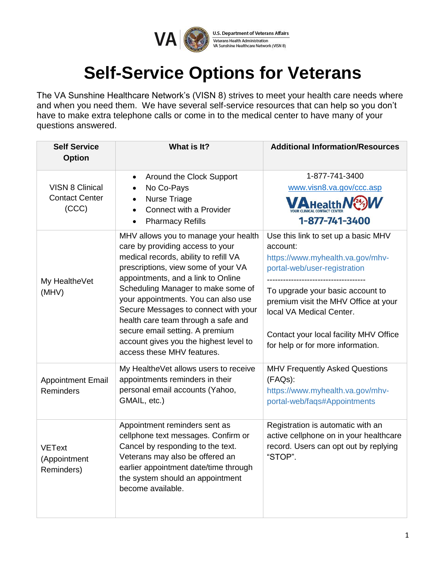

**U.S. Department of Veterans Affairs** Veterans Health Administration VA Sunshine Healthcare Network (VISN 8)

## **Self-Service Options for Veterans**

The VA Sunshine Healthcare Network's (VISN 8) strives to meet your health care needs where and when you need them. We have several self-service resources that can help so you don't have to make extra telephone calls or come in to the medical center to have many of your questions answered.

| <b>Self Service</b><br><b>Option</b>                     | What is It?                                                                                                                                                                                                                                                                                                                                                                                                                                                           | <b>Additional Information/Resources</b>                                                                                                                                                                                                                                                                    |
|----------------------------------------------------------|-----------------------------------------------------------------------------------------------------------------------------------------------------------------------------------------------------------------------------------------------------------------------------------------------------------------------------------------------------------------------------------------------------------------------------------------------------------------------|------------------------------------------------------------------------------------------------------------------------------------------------------------------------------------------------------------------------------------------------------------------------------------------------------------|
| <b>VISN 8 Clinical</b><br><b>Contact Center</b><br>(CCC) | Around the Clock Support<br>$\bullet$<br>No Co-Pays<br><b>Nurse Triage</b><br>Connect with a Provider<br><b>Pharmacy Refills</b>                                                                                                                                                                                                                                                                                                                                      | 1-877-741-3400<br>www.visn8.va.gov/ccc.asp<br><b>MAHealth</b><br>1-877-741-3400                                                                                                                                                                                                                            |
| My HealtheVet<br>(MHV)                                   | MHV allows you to manage your health<br>care by providing access to your<br>medical records, ability to refill VA<br>prescriptions, view some of your VA<br>appointments, and a link to Online<br>Scheduling Manager to make some of<br>your appointments. You can also use<br>Secure Messages to connect with your<br>health care team through a safe and<br>secure email setting. A premium<br>account gives you the highest level to<br>access these MHV features. | Use this link to set up a basic MHV<br>account:<br>https://www.myhealth.va.gov/mhv-<br>portal-web/user-registration<br>To upgrade your basic account to<br>premium visit the MHV Office at your<br>local VA Medical Center.<br>Contact your local facility MHV Office<br>for help or for more information. |
| <b>Appointment Email</b><br>Reminders                    | My HealtheVet allows users to receive<br>appointments reminders in their<br>personal email accounts (Yahoo,<br>GMAIL, etc.)                                                                                                                                                                                                                                                                                                                                           | <b>MHV Frequently Asked Questions</b><br>(FAQs):<br>https://www.myhealth.va.gov/mhv-<br>portal-web/faqs#Appointments                                                                                                                                                                                       |
| <b>VEText</b><br>(Appointment<br>Reminders)              | Appointment reminders sent as<br>cellphone text messages. Confirm or<br>Cancel by responding to the text.<br>Veterans may also be offered an<br>earlier appointment date/time through<br>the system should an appointment<br>become available.                                                                                                                                                                                                                        | Registration is automatic with an<br>active cellphone on in your healthcare<br>record. Users can opt out by replying<br>"STOP".                                                                                                                                                                            |